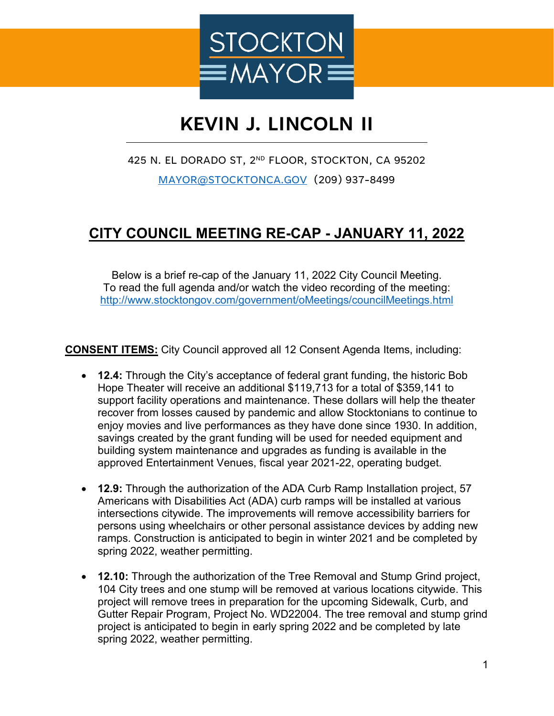

## **KEVIN J. LINCOLN II**

425 N. EL DORADO ST, 2ND FLOOR, STOCKTON, CA 95202

[MAYOR@STOCKTONCA.GOV](mailto:MAYOR@STOCKTONCA.GOV) (209) 937-8499

## **CITY COUNCIL MEETING RE-CAP - JANUARY 11, 2022**

Below is a brief re-cap of the January 11, 2022 City Council Meeting. To read the full agenda and/or watch the video recording of the meeting: <http://www.stocktongov.com/government/oMeetings/councilMeetings.html>

**CONSENT ITEMS:** City Council approved all 12 Consent Agenda Items, including:

- **12.4:** Through the City's acceptance of federal grant funding, the historic Bob Hope Theater will receive an additional \$119,713 for a total of \$359,141 to support facility operations and maintenance. These dollars will help the theater recover from losses caused by pandemic and allow Stocktonians to continue to enjoy movies and live performances as they have done since 1930. In addition, savings created by the grant funding will be used for needed equipment and building system maintenance and upgrades as funding is available in the approved Entertainment Venues, fiscal year 2021-22, operating budget.
- **12.9:** Through the authorization of the ADA Curb Ramp Installation project, 57 Americans with Disabilities Act (ADA) curb ramps will be installed at various intersections citywide. The improvements will remove accessibility barriers for persons using wheelchairs or other personal assistance devices by adding new ramps. Construction is anticipated to begin in winter 2021 and be completed by spring 2022, weather permitting.
- **12.10:** Through the authorization of the Tree Removal and Stump Grind project, 104 City trees and one stump will be removed at various locations citywide. This project will remove trees in preparation for the upcoming Sidewalk, Curb, and Gutter Repair Program, Project No. WD22004. The tree removal and stump grind project is anticipated to begin in early spring 2022 and be completed by late spring 2022, weather permitting.